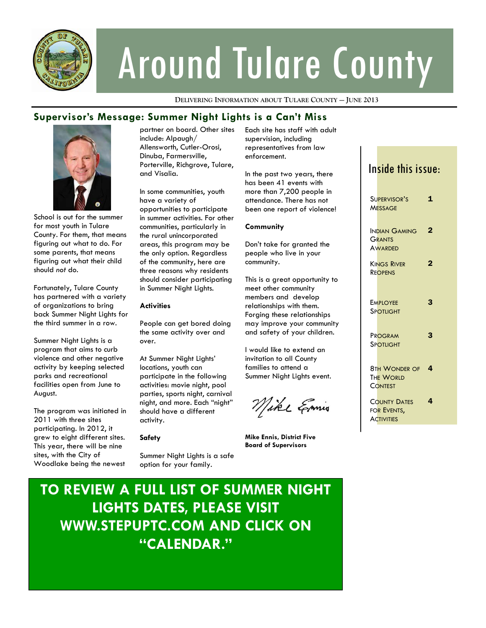

# Around Tulare County

**DELIVERING INFORMATION ABOUT TULARE COUNTY — JUNE 2013**

### **Supervisor's Message: Summer Night Lights is a Can't Miss**



School is out for the summer for most youth in Tulare County. For them, that means figuring out what to do. For some parents, that means figuring out what their child should *not* do.

Fortunately, Tulare County has partnered with a variety of organizations to bring back Summer Night Lights for the third summer in a row.

Summer Night Lights is a program that aims to curb violence and other negative activity by keeping selected parks and recreational facilities open from June to August.

The program was initiated in 2011 with three sites participating. In 2012, it grew to eight different sites. This year, there will be nine sites, with the City of Woodlake being the newest

partner on board. Other sites include: Alpaugh/ Allensworth, Cutler-Orosi, Dinuba, Farmersville, Porterville, Richgrove, Tulare, and Visalia.

In some communities, youth have a variety of opportunities to participate in summer activities. For other communities, particularly in the rural unincorporated areas, this program may be the only option. Regardless of the community, here are three reasons why residents should consider participating in Summer Night Lights.

### **Activities**

People can get bored doing the same activity over and over.

At Summer Night Lights' locations, youth can participate in the following activities: movie night, pool parties, sports night, carnival night, and more. Each "night" should have a different activity.

### **Safety**

Summer Night Lights is a safe option for your family.

Each site has staff with adult supervision, including representatives from law enforcement.

In the past two years, there has been 41 events with more than 7,200 people in attendance. There has not been one report of violence!

### **Community**

Don't take for granted the people who live in your community.

This is a great opportunity to meet other community members and develop relationships with them. Forging these relationships may improve your community and safety of your children.

I would like to extend an invitation to all County families to attend a Summer Night Lights event.

Mike Emis

**Mike Ennis, District Five Board of Supervisors** 

### Inside this issue:

| SUPERVISOR'S<br><b>MESSAGE</b>                          | 1 |
|---------------------------------------------------------|---|
| INDIAN GAMING<br><b>GRANTS</b><br><b>AWARDED</b>        | 2 |
| <b>KINGS RIVER</b><br><b>REOPENS</b>                    | 2 |
| <b>EMPIOYFF</b><br>SPOTLIGHT                            | 3 |
| PROGRAM<br>SPOTHGHT                                     | З |
| <b>8TH WONDER OF</b><br><b>THE WORLD</b><br>CONTEST     | 4 |
| <b>COUNTY DATES</b><br>FOR EVENTS,<br><b>ACTIVITIES</b> | 4 |

### **TO REVIEW A FULL LIST OF SUMMER NIGHT LIGHTS DATES, PLEASE VISIT WWW.STEPUPTC.COM AND CLICK ON "CALENDAR."**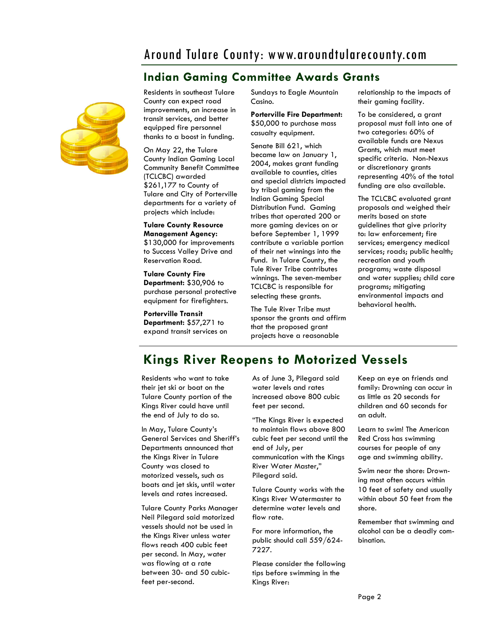### Around Tulare County: www.aroundtularecounty.com

### **Indian Gaming Committee Awards Grants**



Residents in southeast Tulare County can expect road improvements, an increase in transit services, and better equipped fire personnel thanks to a boost in funding.

On May 22, the Tulare County Indian Gaming Local Community Benefit Committee (TCLCBC) awarded \$261,177 to County of Tulare and City of Porterville departments for a variety of projects which include:

**Tulare County Resource Management Agency:**  \$130,000 for improvements to Success Valley Drive and Reservation Road.

**Tulare County Fire Department:** \$30,906 to purchase personal protective equipment for firefighters.

**Porterville Transit Department:** \$57,271 to expand transit services on Sundays to Eagle Mountain Casino.

**Porterville Fire Department:**  \$50,000 to purchase mass casualty equipment.

Senate Bill 621, which became law on January 1, 2004, makes grant funding available to counties, cities and special districts impacted by tribal gaming from the Indian Gaming Special Distribution Fund. Gaming tribes that operated 200 or more gaming devices on or before September 1, 1999 contribute a variable portion of their net winnings into the Fund. In Tulare County, the Tule River Tribe contributes winnings. The seven-member TCLCBC is responsible for selecting these grants.

The Tule River Tribe must sponsor the grants and affirm that the proposed grant projects have a reasonable

relationship to the impacts of their gaming facility.

To be considered, a grant proposal must fall into one of two categories: 60% of available funds are Nexus Grants, which must meet specific criteria. Non-Nexus or discretionary grants representing 40% of the total funding are also available.

The TCLCBC evaluated grant proposals and weighed their merits based on state guidelines that give priority to: law enforcement; fire services; emergency medical services; roads; public health; recreation and youth programs; waste disposal and water supplies; child care programs; mitigating environmental impacts and behavioral health.

### **Kings River Reopens to Motorized Vessels**

Residents who want to take their jet ski or boat on the Tulare County portion of the Kings River could have until the end of July to do so.

In May, Tulare County's General Services and Sheriff's Departments announced that the Kings River in Tulare County was closed to motorized vessels, such as boats and jet skis, until water levels and rates increased.

Tulare County Parks Manager Neil Pilegard said motorized vessels should not be used in the Kings River unless water flows reach 400 cubic feet per second. In May, water was flowing at a rate between 30- and 50 cubicfeet per-second.

As of June 3, Pilegard said water levels and rates increased above 800 cubic feet per second.

"The Kings River is expected to maintain flows above 800 cubic feet per second until the end of July, per communication with the Kings River Water Master," Pilegard said.

Tulare County works with the Kings River Watermaster to determine water levels and flow rate.

For more information, the public should call 559/624- 7227.

Please consider the following tips before swimming in the Kings River:

Keep an eye on friends and family: Drowning can occur in as little as 20 seconds for children and 60 seconds for an adult.

Learn to swim! The American Red Cross has swimming courses for people of any age and swimming ability.

Swim near the shore: Drowning most often occurs within 10 feet of safety and usually within about 50 feet from the shore.

Remember that swimming and alcohol can be a deadly combination.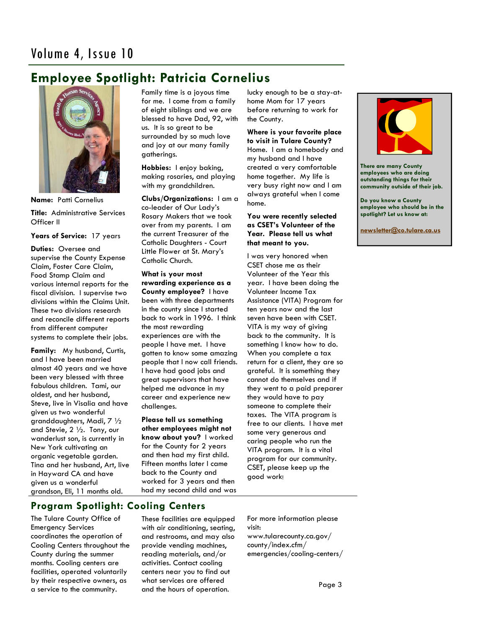## **Employee Spotlight: Patricia Cornelius**



**Name:** Patti Cornelius

**Title:** Administrative Services Officer II

**Years of Service:** 17 years

**Duties:** Oversee and supervise the County Expense Claim, Foster Care Claim, Food Stamp Claim and various internal reports for the fiscal division. I supervise two divisions within the Claims Unit. These two divisions research and reconcile different reports from different computer systems to complete their jobs.

**Family:** My husband, Curtis, and I have been married almost 40 years and we have been very blessed with three fabulous children. Tami, our oldest, and her husband, Steve, live in Visalia and have given us two wonderful granddaughters, Madi, 7 ½ and Stevie, 2 ½. Tony, our wanderlust son, is currently in New York cultivating an organic vegetable garden. Tina and her husband, Art, live in Hayward CA and have given us a wonderful grandson, Eli, 11 months old.

Family time is a joyous time for me. I come from a family of eight siblings and we are blessed to have Dad, 92, with us. It is so great to be surrounded by so much love and joy at our many family gatherings.

**Hobbies:** I enjoy baking, making rosaries, and playing with my grandchildren.

**Clubs/Organizations:** I am a co-leader of Our Lady's Rosary Makers that we took over from my parents. I am the current Treasurer of the Catholic Daughters - Court Little Flower at St. Mary's Catholic Church.

**What is your most rewarding experience as a County employee?** I have been with three departments in the county since I started back to work in 1996. I think the most rewarding experiences are with the people I have met. I have gotten to know some amazing people that I now call friends. I have had good jobs and great supervisors that have helped me advance in my career and experience new challenges.

**Please tell us something other employees might not know about you?** I worked for the County for 2 years and then had my first child. Fifteen months later I came back to the County and worked for 3 years and then had my second child and was lucky enough to be a stay-athome Mom for 17 years before returning to work for the County.

#### **Where is your favorite place to visit in Tulare County?**

Home. I am a homebody and my husband and I have created a very comfortable home together. My life is very busy right now and I am always grateful when I come home.

### **You were recently selected as CSET's Volunteer of the Year. Please tell us what that meant to you.**

I was very honored when CSET chose me as their Volunteer of the Year this year. I have been doing the Volunteer Income Tax Assistance (VITA) Program for ten years now and the last seven have been with CSET. VITA is my way of giving back to the community. It is something I know how to do. When you complete a tax return for a client, they are so grateful. It is something they cannot do themselves and if they went to a paid preparer they would have to pay someone to complete their taxes. The VITA program is free to our clients. I have met some very generous and caring people who run the VITA program. It is a vital program for our community. CSET, please keep up the good work!



**There are many County employees who are doing outstanding things for their community outside of their job.** 

**Do you know a County employee who should be in the spotlight? Let us know at:** 

**[newsletter@co.tulare.ca.us](mailto:newsletter@co.tulare.ca.us?subject=Employee%20spotlight)**

### **Program Spotlight: Cooling Centers**

The Tulare County Office of Emergency Services coordinates the operation of Cooling Centers throughout the County during the summer months. Cooling centers are facilities, operated voluntarily by their respective owners, as a service to the community.

These facilities are equipped with air conditioning, seating, and restrooms, and may also provide vending machines, reading materials, and/or activities. Contact cooling centers near you to find out what services are offered and the hours of operation.

For more information please visit: www.tularecounty.ca.gov/ county/index.cfm/ emergencies/cooling-centers/